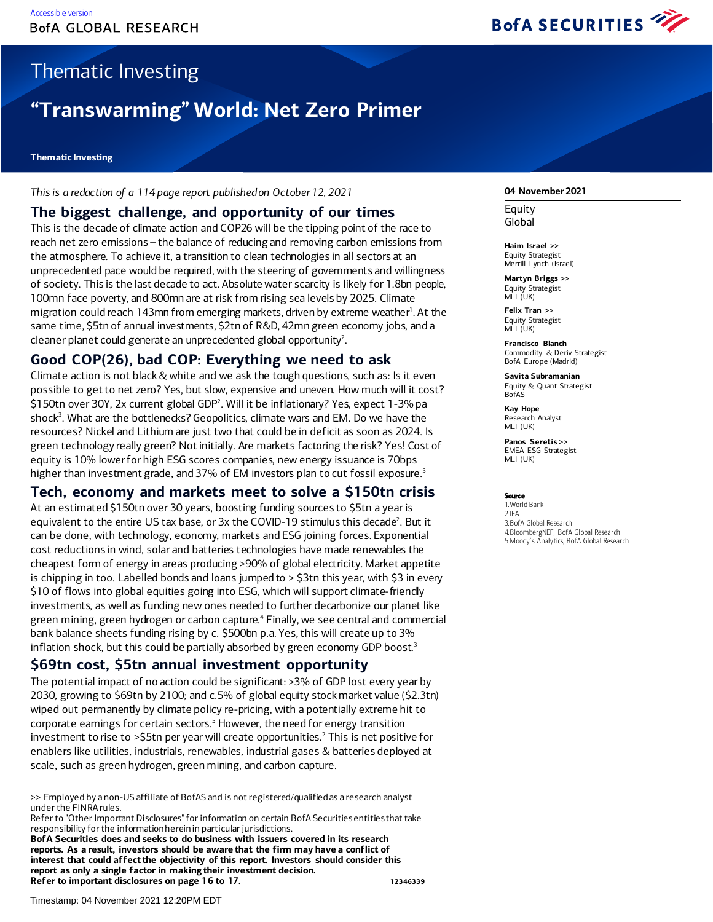

# Thematic Investing

# **"Transwarming" World: Net Zero Primer**

#### **Thematic Investing**

*This is a redaction of a 114 page report published on October 12, 2021*

### **The biggest challenge, and opportunity of our times**

This is the decade of climate action and COP26 will be the tipping point of the race to reach net zero emissions – the balance of reducing and removing carbon emissions from the atmosphere. To achieve it, a transition to clean technologies in all sectors at an unprecedented pace would be required, with the steering of governments and willingness of society. This is the last decade to act. Absolute water scarcity is likely for 1.8bn people, 100mn face poverty, and 800mn are at risk from rising sea levels by 2025. Climate migration could reach 143mn from emerging markets, driven by extreme weather<sup>1</sup>. At the same time, \$5tn of annual investments, \$2tn of R&D, 42mn green economy jobs, and a cleaner planet could generate an unprecedented global opportunity<sup>2</sup>.

### **Good COP(26), bad COP: Everything we need to ask**

Climate action is not black & white and we ask the tough questions, such as: Is it even possible to get to net zero? Yes, but slow, expensive and uneven. How much will it cost? \$150tn over 30Y, 2x current global GDP<sup>2</sup>. Will it be inflationary? Yes, expect 1-3% pa shock<sup>3</sup>. What are the bottlenecks? Geopolitics, climate wars and EM. Do we have the resources? Nickel and Lithium are just two that could be in deficit as soon as 2024. Is green technology really green? Not initially. Are markets factoring the risk? Yes! Cost of equity is 10% lowerfor high ESG scores companies, new energy issuance is 70bps higher than investment grade, and 37% of EM investors plan to cut fossil exposure.<sup>3</sup>

### **Tech, economy and markets meet to solve a \$150tn crisis**

At an estimated \$150tn over 30 years, boosting funding sources to \$5tn a year is equivalent to the entire US tax base, or 3x the COVID-19 stimulus this decade<sup>2</sup>. But it can be done, with technology, economy, markets and ESG joining forces. Exponential cost reductions in wind, solar and batteries technologies have made renewables the cheapest form of energy in areas producing >90% of global electricity. Market appetite is chipping in too. Labelled bonds and loans jumped to > \$3tn this year, with \$3 in every \$10 of flows into global equities going into ESG, which will support climate-friendly investments, as well as funding new ones needed to further decarbonize our planet like green mining, green hydrogen or carbon capture.4 Finally, we see central and commercial bank balance sheets funding rising by c. \$500bn p.a. Yes, this will create up to 3% inflation shock, but this could be partially absorbed by green economy GDP boost.<sup>3</sup>

### **\$69tn cost, \$5tn annual investment opportunity**

The potential impact of no action could be significant: >3% of GDP lost every year by 2030, growing to \$69tn by 2100; and c.5% of global equity stock market value (\$2.3tn) wiped out permanently by climate policy re-pricing, with a potentially extreme hit to corporate earnings for certain sectors.<sup>5</sup> However, the need for energy transition investment to rise to  $>$ \$5tn per year will create opportunities.<sup>2</sup> This is net positive for enablers like utilities, industrials, renewables, industrial gases & batteries deployed at scale, such as green hydrogen, green mining, and carbon capture.

Refer to "Other Important Disclosures" for information on certain BofA Securities entities that take responsibility for the information herein in particular jurisdictions.

**BofA Securities does and seeks to do business with issuers covered in its research reports. As a result, investors should be aware that the firm may have a conflict of interest that could affect the objectivity of this report. Investors should consider this report as only a single factor in making their investment decision. Refer to important disclosures on page 16 to 17. 12346339**

#### **04 November 2021**

**Equity** Global

**Haim Israel >>** Equity Strategist Merrill Lynch (Israel)

**Martyn Briggs >>** Equity Strategist MLI (UK)

**Felix Tran >>** Equity Strategist MLI (UK)

**Francisco Blanch** Commodity & Deriv Strategist BofA Europe (Madrid)

**Savita Subramanian** Equity & Quant Strategist **BofAS** 

**Kay Hope** Research Analyst MLI (UK)

**Panos Seretis >>** EMEA ESG Strategist MLI (UK)

#### Source

1.World Bank 2.IEA 3.BofA Global Research 4.BloombergNEF, BofA Global Research 5.Moody's Analytics, BofA Global Research

<sup>&</sup>gt;> Employed by a non-US affiliate of BofAS and is not registered/qualified as a research analyst under the FINRA rules.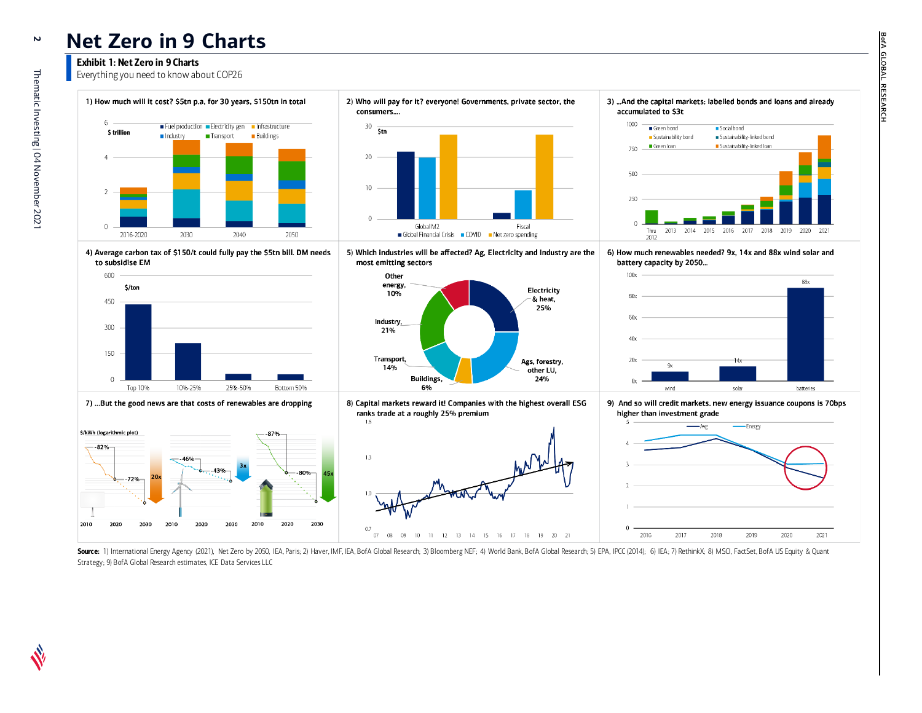## **Net Zero in 9 Charts**

#### Exhibit 1: Net Zero in 9 Charts

Everything you need to know about COP26







7) ...But the good news are that costs of renewables are dropping









8) Capital markets reward it! Companies with the highest overall ESG ranks trade at a roughly 25% premium







3) ... And the capital markets: labelled bonds and loans and already accumulated to \$3t

OBA.

双



6) How much renewables needed? 9x, 14x and 88x wind solar and battery capacity by 2050...



9) And so will credit markets. new energy issuance coupons is 70bps higher than investment grade



Source: 1) International Energy Agency (2021), Net Zero by 2050, IEA, Paris; 2) Haver, IMF, IEA, BofA Global Research; 3) Bloomberg NEF; 4) World Bank, BofA Global Research; 5) EPA, IPCC (2014); 6) IEA; 7) RethinkX; 8) MSC Strategy; 9) BofA Global Research estimates, ICE Data Services LLC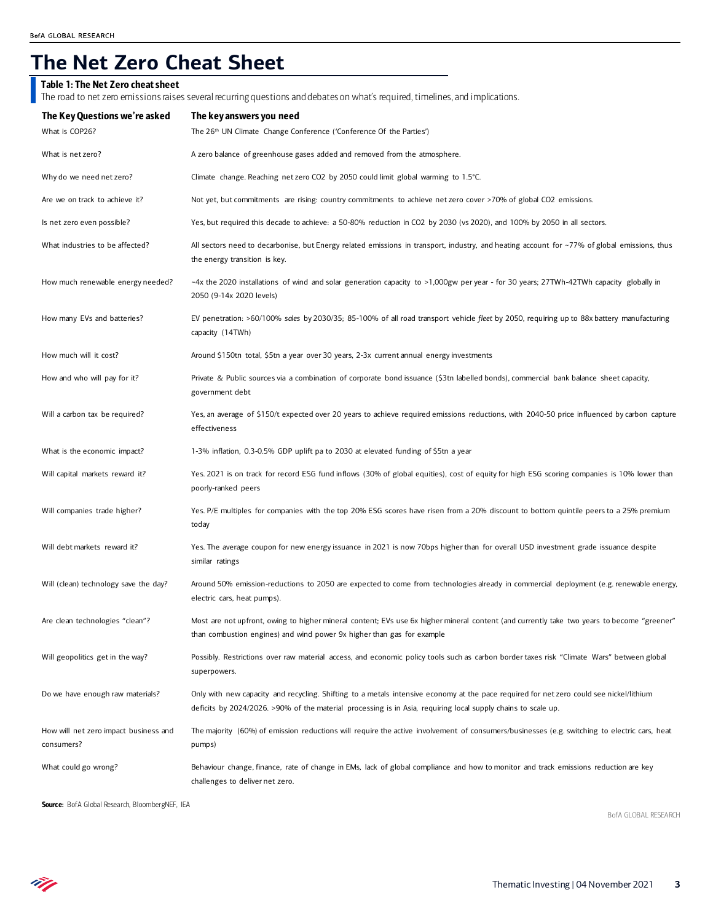# **The Net Zero Cheat Sheet**

#### Table 1: The Net Zero cheat sheet

The road to net zero emissions raises several recurring questions and debates on what's required, timelines, and implications.

| The Key Questions we're asked                       | The key answers you need                                                                                                                                                                                                                                 |
|-----------------------------------------------------|----------------------------------------------------------------------------------------------------------------------------------------------------------------------------------------------------------------------------------------------------------|
| What is COP26?                                      | The 26 <sup>th</sup> UN Climate Change Conference ('Conference Of the Parties')                                                                                                                                                                          |
| What is net zero?                                   | A zero balance of greenhouse gases added and removed from the atmosphere.                                                                                                                                                                                |
| Why do we need net zero?                            | Climate change. Reaching net zero CO2 by 2050 could limit global warming to 1.5°C.                                                                                                                                                                       |
| Are we on track to achieve it?                      | Not yet, but commitments are rising: country commitments to achieve net zero cover >70% of global CO2 emissions.                                                                                                                                         |
| ls net zero even possible?                          | Yes, but required this decade to achieve: a 50-80% reduction in CO2 by 2030 (vs 2020), and 100% by 2050 in all sectors.                                                                                                                                  |
| What industries to be affected?                     | All sectors need to decarbonise, but Energy related emissions in transport, industry, and heating account for ~77% of global emissions, thus<br>the energy transition is key.                                                                            |
| How much renewable energy needed?                   | ~4x the 2020 installations of wind and solar generation capacity to >1,000gw per year - for 30 years; 27TWh-42TWh capacity globally in<br>2050 (9-14x 2020 levels)                                                                                       |
| How many EVs and batteries?                         | EV penetration: >60/100% sales by 2030/35; 85-100% of all road transport vehicle fleet by 2050, requiring up to 88x battery manufacturing<br>capacity (14TWh)                                                                                            |
| How much will it cost?                              | Around \$150tn total, \$5tn a year over 30 years, 2-3x current annual energy investments                                                                                                                                                                 |
| How and who will pay for it?                        | Private & Public sources via a combination of corporate bond issuance (\$3tn labelled bonds), commercial bank balance sheet capacity,<br>government debt                                                                                                 |
| Will a carbon tax be required?                      | Yes, an average of \$150/t expected over 20 years to achieve required emissions reductions, with 2040-50 price influenced by carbon capture<br>effectiveness                                                                                             |
| What is the economic impact?                        | 1-3% inflation, 0.3-0.5% GDP uplift pa to 2030 at elevated funding of \$5tn a year                                                                                                                                                                       |
| Will capital markets reward it?                     | Yes. 2021 is on track for record ESG fund inflows (30% of global equities), cost of equity for high ESG scoring companies is 10% lower than<br>poorly-ranked peers                                                                                       |
| Will companies trade higher?                        | Yes. P/E multiples for companies with the top 20% ESG scores have risen from a 20% discount to bottom quintile peers to a 25% premium<br>today                                                                                                           |
| Will debt markets reward it?                        | Yes. The average coupon for new energy issuance in 2021 is now 70bps higher than for overall USD investment grade issuance despite<br>similar ratings                                                                                                    |
| Will (clean) technology save the day?               | Around 50% emission-reductions to 2050 are expected to come from technologies already in commercial deployment (e.g. renewable energy,<br>electric cars, heat pumps).                                                                                    |
| Are clean technologies "clean"?                     | Most are not upfront, owing to higher mineral content; EVs use 6x higher mineral content (and currently take two years to become "greener"<br>than combustion engines) and wind power 9x higher than gas for example                                     |
| Will geopolitics get in the way?                    | Possibly. Restrictions over raw material access, and economic policy tools such as carbon border taxes risk "Climate Wars" between global<br>superpowers.                                                                                                |
| Do we have enough raw materials?                    | Only with new capacity and recycling. Shifting to a metals intensive economy at the pace required for net zero could see nickel/lithium<br>deficits by 2024/2026. >90% of the material processing is in Asia, requiring local supply chains to scale up. |
| How will net zero impact business and<br>consumers? | The majority (60%) of emission reductions will require the active involvement of consumers/businesses (e.g. switching to electric cars, heat<br>pumps)                                                                                                   |
| What could go wrong?                                | Behaviour change, finance, rate of change in EMs, lack of global compliance and how to monitor and track emissions reduction are key<br>challenges to deliver net zero.                                                                                  |

Source: BofA Global Research, BloombergNEF, IEA

BofA GLOBAL RESEARCH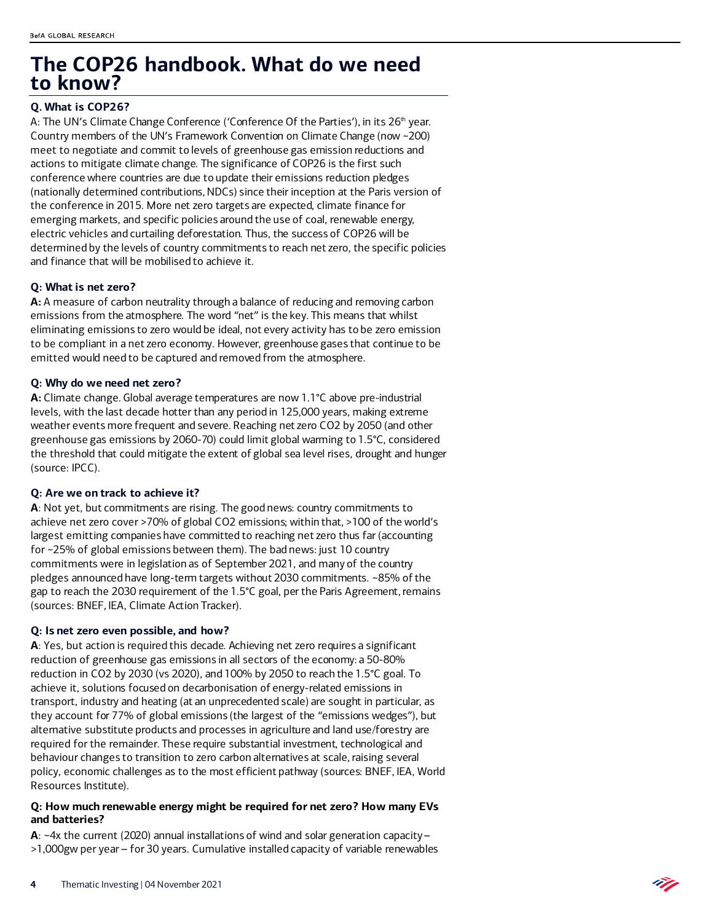## **The COP26 handbook. What do we need to know?**

#### **Q. What is COP26?**

A: The UN's Climate Change Conference ('Conference Of the Parties'), in its 26<sup>th</sup> year. Country members of the UN's Framework Convention on Climate Change (now ~200) meet to negotiate and commit to levels of greenhouse gas emission reductions and actions to mitigate climate change. The significance of COP26 is the first such conference where countries are due to update their emissions reduction pledges (nationally determined contributions, NDCs) since their inception at the Paris version of the conference in 2015. More net zero targets are expected, climate finance for emerging markets, and specific policies around the use of coal, renewable energy, electric vehicles and curtailing deforestation. Thus, the success of COP26 will be determined by the levels of country commitments to reach net zero, the specific policies and finance that will be mobilised to achieve it.

#### **Q: What is net zero?**

**A:** A measure of carbon neutrality through a balance of reducing and removing carbon emissions from the atmosphere. The word "net" is the key. This means that whilst eliminating emissions to zero would be ideal, not every activity has to be zero emission to be compliant in a net zero economy. However, greenhouse gases that continue to be emitted would need to be captured and removed from the atmosphere.

#### **Q: Why do we need net zero?**

**A:** Climate change. Global average temperatures are now 1.1°C above pre-industrial levels, with the last decade hotter than any period in 125,000 years, making extreme weather events more frequent and severe. Reaching net zero CO2 by 2050 (and other greenhouse gas emissions by 2060-70) could limit global warming to 1.5°C, considered the threshold that could mitigate the extent of global sea level rises, drought and hunger (source: IPCC).

#### **Q: Are we on track to achieve it?**

**A**: Not yet, but commitments are rising. The good news: country commitments to achieve net zero cover >70% of global CO2 emissions; within that, >100 of the world's largest emitting companies have committed to reaching net zero thus far (accounting for ~25% of global emissions between them). The bad news: just 10 country commitments were in legislation as of September 2021, and many of the country pledges announced have long-term targets without 2030 commitments. ~85% of the gap to reach the 2030 requirement of the 1.5°C goal, per the Paris Agreement, remains (sources: BNEF, IEA, Climate Action Tracker).

#### **Q: Is net zero even possible, and how?**

**A**: Yes, but action is required this decade. Achieving net zero requires a significant reduction of greenhouse gas emissions in all sectors of the economy: a 50-80% reduction in CO2 by 2030 (vs 2020), and 100% by 2050 to reach the 1.5°C goal. To achieve it, solutions focused on decarbonisation of energy-related emissions in transport, industry and heating (at an unprecedented scale) are sought in particular, as they account for 77% of global emissions (the largest of the "emissions wedges"), but alternative substitute products and processes in agriculture and land use/forestry are required for the remainder. These require substantial investment, technological and behaviour changes to transition to zero carbon alternatives at scale, raising several policy, economic challenges as to the most efficient pathway (sources: BNEF, IEA, World Resources Institute).

#### **Q: How much renewable energy might be required for net zero? How many EVs and batteries?**

**A**: ~4x the current (2020) annual installations of wind and solar generation capacity – >1,000gw per year – for 30 years. Cumulative installed capacity of variable renewables

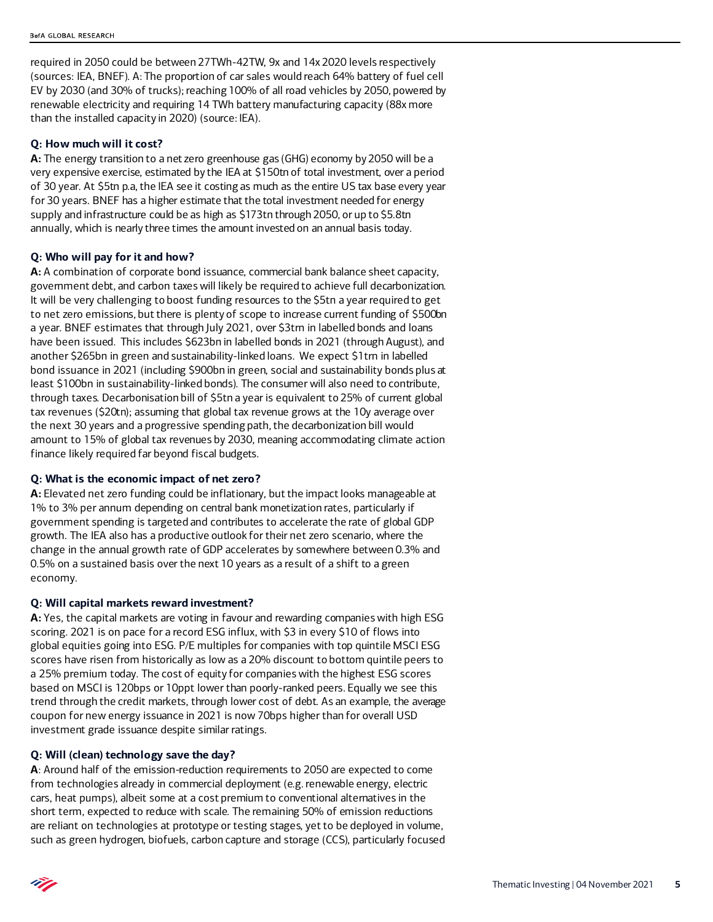required in 2050 could be between 27TWh-42TW, 9x and 14x 2020 levels respectively (sources: IEA, BNEF). A: The proportion of car sales would reach 64% battery of fuel cell EV by 2030 (and 30% of trucks); reaching 100% of all road vehicles by 2050, powered by renewable electricity and requiring 14 TWh battery manufacturing capacity (88x more than the installed capacity in 2020) (source: IEA).

#### **Q: How much will it cost?**

**A:** The energy transition to a net zero greenhouse gas (GHG) economy by 2050 will be a very expensive exercise, estimated by the IEA at \$150tn of total investment, over a period of 30 year. At \$5tn p.a, the IEA see it costing as much as the entire US tax base every year for 30 years. BNEF has a higher estimate that the total investment needed for energy supply and infrastructure could be as high as \$173tn through 2050, or up to \$5.8tn annually, which is nearly three times the amount invested on an annual basis today.

#### **Q: Who will pay for it and how?**

**A:** A combination of corporate bond issuance, commercial bank balance sheet capacity, government debt, and carbon taxes will likely be required to achieve full decarbonization. It will be very challenging to boost funding resources to the \$5tn a year required to get to net zero emissions, but there is plenty of scope to increase current funding of \$500bn a year. BNEF estimates that through July 2021, over \$3trn in labelled bonds and loans have been issued. This includes \$623bn in labelled bonds in 2021 (through August), and another \$265bn in green and sustainability-linked loans. We expect \$1trn in labelled bond issuance in 2021 (including \$900bn in green, social and sustainability bonds plus at least \$100bn in sustainability-linked bonds). The consumer will also need to contribute, through taxes. Decarbonisation bill of \$5tn a year is equivalent to 25% of current global tax revenues (\$20tn); assuming that global tax revenue grows at the 10y average over the next 30 years and a progressive spending path, the decarbonization bill would amount to 15% of global tax revenues by 2030, meaning accommodating climate action finance likely required far beyond fiscal budgets.

#### **Q: What is the economic impact of net zero?**

**A:** Elevated net zero funding could be inflationary, but the impact looks manageable at 1% to 3% per annum depending on central bank monetization rates, particularly if government spending is targeted and contributes to accelerate the rate of global GDP growth. The IEA also has a productive outlook for their net zero scenario, where the change in the annual growth rate of GDP accelerates by somewhere between 0.3% and 0.5% on a sustained basis over the next 10 years as a result of a shift to a green economy.

#### **Q: Will capital markets reward investment?**

**A:** Yes, the capital markets are voting in favour and rewarding companies with high ESG scoring. 2021 is on pace for a record ESG influx, with \$3 in every \$10 of flows into global equities going into ESG. P/E multiples for companies with top quintile MSCI ESG scores have risen from historically as low as a 20% discount to bottom quintile peers to a 25% premium today. The cost of equity for companies with the highest ESG scores based on MSCI is 120bps or 10ppt lower than poorly-ranked peers. Equally we see this trend through the credit markets, through lower cost of debt. As an example, the average coupon for new energy issuance in 2021 is now 70bps higher than for overall USD investment grade issuance despite similar ratings.

#### **Q: Will (clean) technology save the day?**

**A**: Around half of the emission-reduction requirements to 2050 are expected to come from technologies already in commercial deployment (e.g. renewable energy, electric cars, heat pumps), albeit some at a cost premium to conventional alternatives in the short term, expected to reduce with scale. The remaining 50% of emission reductions are reliant on technologies at prototype or testing stages, yet to be deployed in volume, such as green hydrogen, biofuels, carbon capture and storage (CCS), particularly focused

Thematic Investing | 04 November 2021 **5**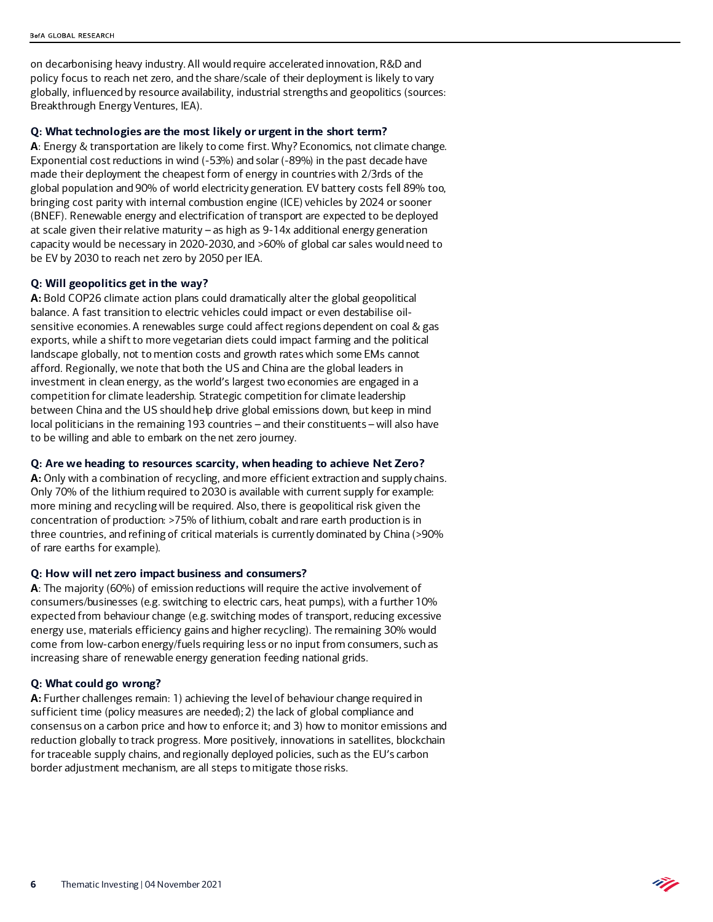on decarbonising heavy industry. All would require accelerated innovation, R&D and policy focus to reach net zero, and the share/scale of their deployment is likely to vary globally, influenced by resource availability, industrial strengths and geopolitics (sources: Breakthrough Energy Ventures, IEA).

#### **Q: What technologies are the most likely or urgent in the short term?**

**A**: Energy & transportation are likely to come first. Why? Economics, not climate change. Exponential cost reductions in wind (-53%) and solar (-89%) in the past decade have made their deployment the cheapest form of energy in countries with 2/3rds of the global population and 90% of world electricity generation. EV battery costs fell 89% too, bringing cost parity with internal combustion engine (ICE) vehicles by 2024 or sooner (BNEF). Renewable energy and electrification of transport are expected to be deployed at scale given their relative maturity – as high as 9-14x additional energy generation capacity would be necessary in 2020-2030, and >60% of global car sales would need to be EV by 2030 to reach net zero by 2050 per IEA.

#### **Q: Will geopolitics get in the way?**

**A:** Bold COP26 climate action plans could dramatically alter the global geopolitical balance. A fast transition to electric vehicles could impact or even destabilise oilsensitive economies. A renewables surge could affect regions dependent on coal & gas exports, while a shift to more vegetarian diets could impact farming and the political landscape globally, not to mention costs and growth rates which some EMs cannot afford. Regionally, we note that both the US and China are the global leaders in investment in clean energy, as the world's largest two economies are engaged in a competition for climate leadership. Strategic competition for climate leadership between China and the US should help drive global emissions down, but keep in mind local politicians in the remaining 193 countries – and their constituents – will also have to be willing and able to embark on the net zero journey.

#### **Q: Are we heading to resources scarcity, when heading to achieve Net Zero?**

**A:** Only with a combination of recycling, and more efficient extraction and supply chains. Only 70% of the lithium required to 2030 is available with current supply for example: more mining and recycling will be required. Also, there is geopolitical risk given the concentration of production: >75% of lithium, cobalt and rare earth production is in three countries, and refining of critical materials is currently dominated by China (>90% of rare earths for example).

#### **Q: How will net zero impact business and consumers?**

**A**: The majority (60%) of emission reductions will require the active involvement of consumers/businesses (e.g. switching to electric cars, heat pumps), with a further 10% expected from behaviour change (e.g. switching modes of transport, reducing excessive energy use, materials efficiency gains and higher recycling). The remaining 30% would come from low-carbon energy/fuels requiring less or no input from consumers, such as increasing share of renewable energy generation feeding national grids.

#### **Q: What could go wrong?**

**A:** Further challenges remain: 1) achieving the level of behaviour change required in sufficient time (policy measures are needed); 2) the lack of global compliance and consensus on a carbon price and how to enforce it; and 3) how to monitor emissions and reduction globally to track progress. More positively, innovations in satellites, blockchain for traceable supply chains, and regionally deployed policies, such as the EU's carbon border adjustment mechanism, are all steps to mitigate those risks.

Ñ.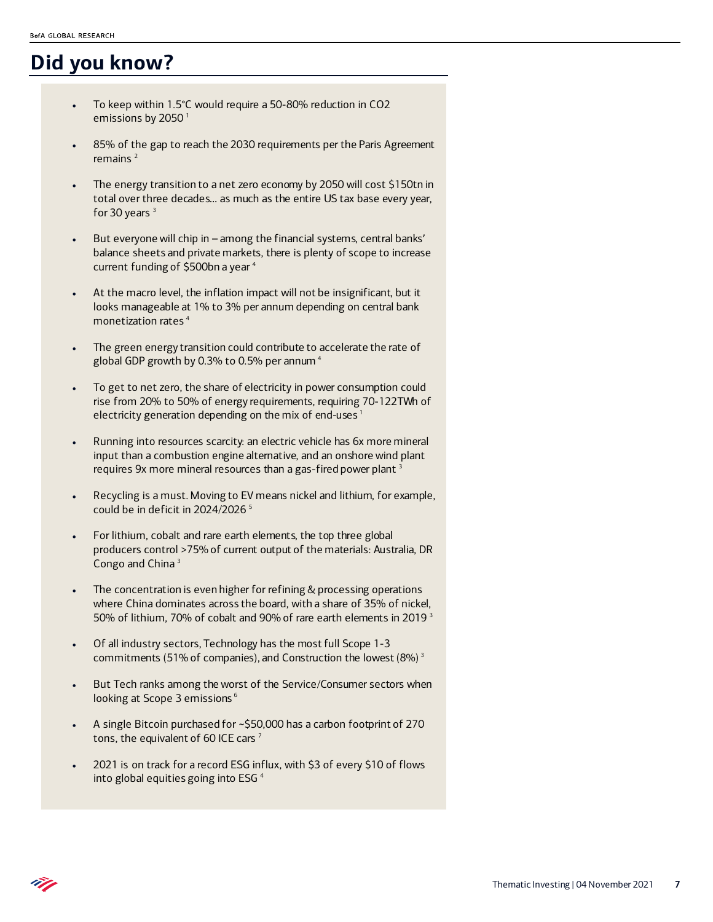## **Did you know?**

- To keep within 1.5°C would require a 50-80% reduction in CO2 emissions by 2050<sup>1</sup>
- 85% of the gap to reach the 2030 requirements per the Paris Agreement remains $<sup>2</sup>$ </sup>
- The energy transition to a net zero economy by 2050 will cost \$150tn in total over three decades… as much as the entire US tax base every year, for 30 years  $3$
- But everyone will chip in among the financial systems, central banks' balance sheets and private markets, there is plenty of scope to increase current funding of \$500bn a year <sup>4</sup>
- At the macro level, the inflation impact will not be insignificant, but it looks manageable at 1% to 3% per annum depending on central bank monetization rates 4
- The green energy transition could contribute to accelerate the rate of global GDP growth by 0.3% to 0.5% per annum 4
- To get to net zero, the share of electricity in power consumption could rise from 20% to 50% of energy requirements, requiring 70-122TWh of electricity generation depending on the mix of end-uses<sup>1</sup>
- Running into resources scarcity: an electric vehicle has 6x more mineral input than a combustion engine alternative, and an onshore wind plant requires 9x more mineral resources than a gas-fired power plant <sup>3</sup>
- Recycling is a must. Moving to EV means nickel and lithium, for example, could be in deficit in 2024/2026 5
- For lithium, cobalt and rare earth elements, the top three global producers control >75% of current output of the materials: Australia, DR Congo and China 3
- The concentration is even higher for refining & processing operations where China dominates across the board, with a share of 35% of nickel, 50% of lithium, 70% of cobalt and 90% of rare earth elements in 2019<sup>3</sup>
- Of all industry sectors, Technology has the most full Scope 1-3 commitments (51% of companies), and Construction the lowest (8%) 3
- But Tech ranks among the worst of the Service/Consumer sectors when looking at Scope 3 emissions<sup>6</sup>
- A single Bitcoin purchased for ~\$50,000 has a carbon footprint of 270 tons, the equivalent of 60 ICE cars<sup>7</sup>
- 2021 is on track for a record ESG influx, with \$3 of every \$10 of flows into global equities going into ESG 4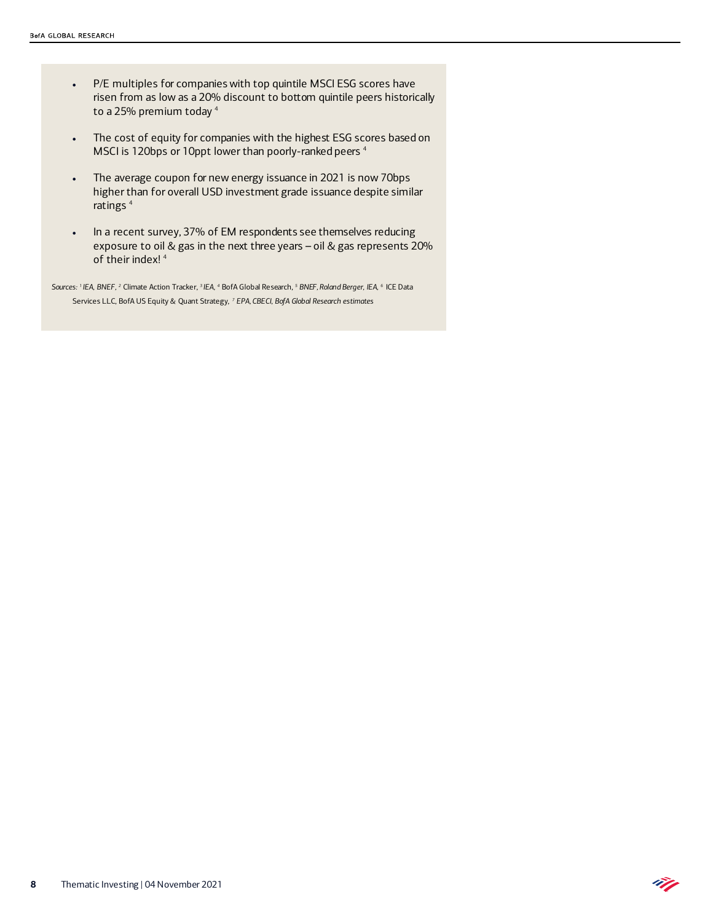- P/E multiples for companies with top quintile MSCI ESG scores have risen from as low as a 20% discount to bottom quintile peers historically to a 25% premium today<sup>4</sup>
- The cost of equity for companies with the highest ESG scores based on MSCI is 120bps or 10ppt lower than poorly-ranked peers 4
- The average coupon for new energy issuance in 2021 is now 70bps higher than for overall USD investment grade issuance despite similar ratings<sup>4</sup>
- In a recent survey, 37% of EM respondents see themselves reducing exposure to oil & gas in the next three years – oil & gas represents 20% of their index! 4

ÑJ

*Sources: 1 IEA, BNEF, 2* Climate Action Tracker, *3 IEA, 4* BofA Global Research, *<sup>5</sup> BNEF, Roland Berger, IEA, 6* ICE Data Services LLC, BofA US Equity & Quant Strategy, *<sup>7</sup> EPA, CBECI, BofA Global Research estimates*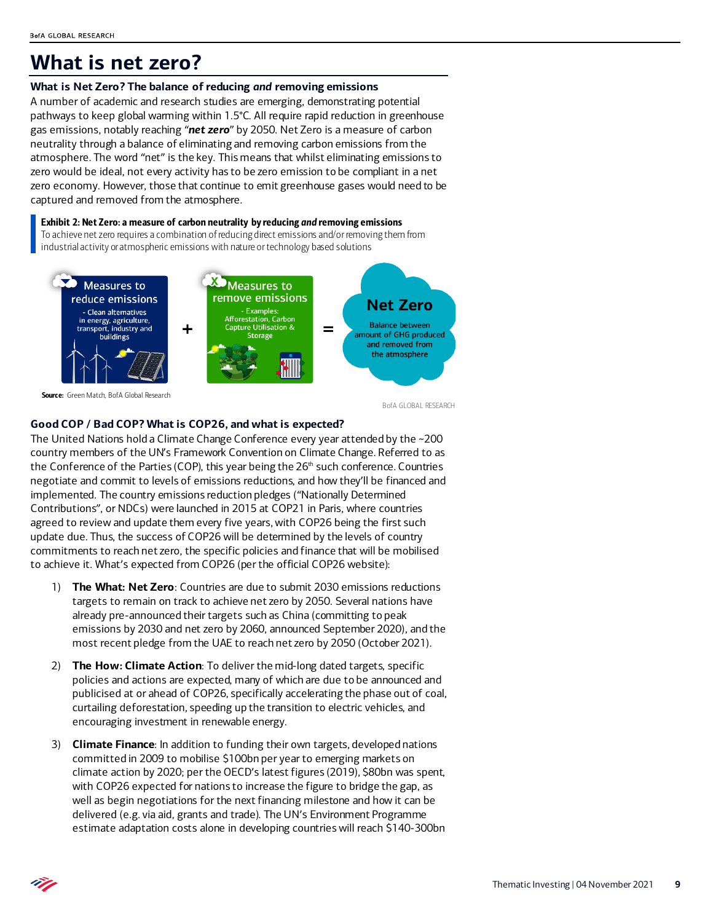## **What is net zero?**

#### **What is Net Zero? The balance of reducing** *and* **removing emissions**

A number of academic and research studies are emerging, demonstrating potential pathways to keep global warming within 1.5°C. All require rapid reduction in greenhouse gas emissions, notably reaching "*net zero*" by 2050. Net Zero is a measure of carbon neutrality through a balance of eliminating and removing carbon emissions from the atmosphere. The word "net" is the key. This means that whilst eliminating emissions to zero would be ideal, not every activity has to be zero emission to be compliant in a net zero economy. However, those that continue to emit greenhouse gases would need to be captured and removed from the atmosphere.

Exhibit 2: Net Zero: a measure of carbon neutrality by reducing *and* removing emissions To achieve net zero requires a combination of reducing direct emissions and/or removing them from industrial activity or atmospheric emissions with nature or technology based solutions



Source: Green Match, BofA Global Research

BofA GLOBAL RESEARCH

#### **Good COP / Bad COP? What is COP26, and what is expected?**

The United Nations hold a Climate Change Conference every year attended by the ~200 country members of the UN's Framework Convention on Climate Change. Referred to as the Conference of the Parties (COP), this year being the  $26<sup>th</sup>$  such conference. Countries negotiate and commit to levels of emissions reductions, and how they'll be financed and implemented. The country emissions reduction pledges ("Nationally Determined Contributions", or NDCs) were launched in 2015 at COP21 in Paris, where countries agreed to review and update them every five years, with COP26 being the first such update due. Thus, the success of COP26 will be determined by the levels of country commitments to reach net zero, the specific policies and finance that will be mobilised to achieve it. What's expected from COP26 (per the official COP26 website):

- 1) **The What: Net Zero**: Countries are due to submit 2030 emissions reductions targets to remain on track to achieve net zero by 2050. Several nations have already pre-announced their targets such as China (committing to peak emissions by 2030 and net zero by 2060, announced September 2020), and the most recent pledge from the UAE to reach net zero by 2050 (October 2021).
- 2) **The How: Climate Action**: To deliver the mid-long dated targets, specific policies and actions are expected, many of which are due to be announced and publicised at or ahead of COP26, specifically accelerating the phase out of coal, curtailing deforestation, speeding up the transition to electric vehicles, and encouraging investment in renewable energy.
- 3) **Climate Finance**: In addition to funding their own targets, developed nations committed in 2009 to mobilise \$100bn per year to emerging markets on climate action by 2020; per the OECD's latest figures (2019), \$80bn was spent, with COP26 expected for nations to increase the figure to bridge the gap, as well as begin negotiations for the next financing milestone and how it can be delivered (e.g. via aid, grants and trade). The UN's Environment Programme estimate adaptation costs alone in developing countries will reach \$140-300bn

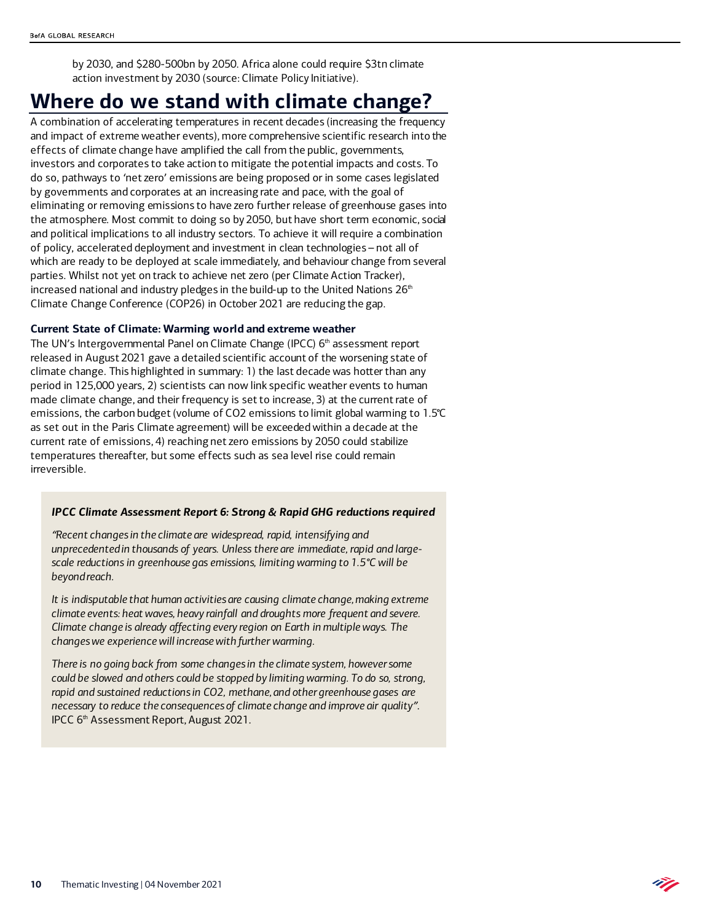by 2030, and \$280-500bn by 2050. Africa alone could require \$3tn climate action investment by 2030 (source: Climate Policy Initiative).

## **Where do we stand with climate change?**

A combination of accelerating temperatures in recent decades (increasing the frequency and impact of extreme weather events), more comprehensive scientific research into the effects of climate change have amplified the call from the public, governments, investors and corporates to take action to mitigate the potential impacts and costs. To do so, pathways to 'net zero' emissions are being proposed or in some cases legislated by governments and corporates at an increasing rate and pace, with the goal of eliminating or removing emissions to have zero further release of greenhouse gases into the atmosphere. Most commit to doing so by 2050, but have short term economic, social and political implications to all industry sectors. To achieve it will require a combination of policy, accelerated deployment and investment in clean technologies – not all of which are ready to be deployed at scale immediately, and behaviour change from several parties. Whilst not yet on track to achieve net zero (per Climate Action Tracker), increased national and industry pledges in the build-up to the United Nations  $26<sup>th</sup>$ Climate Change Conference (COP26) in October 2021 are reducing the gap.

#### **Current State of Climate: Warming world and extreme weather**

The UN's Intergovernmental Panel on Climate Change (IPCC)  $6<sup>th</sup>$  assessment report released in August 2021 gave a detailed scientific account of the worsening state of climate change. This highlighted in summary: 1) the last decade was hotter than any period in 125,000 years, 2) scientists can now link specific weather events to human made climate change, and their frequency is set to increase, 3) at the current rate of emissions, the carbon budget (volume of CO2 emissions to limit global warming to 1.5°C as set out in the Paris Climate agreement) will be exceeded within a decade at the current rate of emissions, 4) reaching net zero emissions by 2050 could stabilize temperatures thereafter, but some effects such as sea level rise could remain irreversible.

#### *IPCC Climate Assessment Report 6: Strong & Rapid GHG reductions required*

*"Recent changes in the climate are widespread, rapid, intensifying and unprecedented in thousands of years. Unless there are immediate, rapid and largescale reductions in greenhouse gas emissions, limiting warming to 1.5°C will be beyond reach.* 

*It is indisputable that human activities are causing climate change, making extreme climate events: heat waves, heavy rainfall and droughts more frequent and severe. Climate change is already affecting every region on Earth in multiple ways. The changes we experience will increase with further warming.* 

*There is no going back from some changes in the climate system, however some could be slowed and others could be stopped by limiting warming. To do so, strong, rapid and sustained reductions in CO2, methane, and other greenhouse gases are necessary to reduce the consequences of climate change and improve air quality"*. IPCC 6<sup>th</sup> Assessment Report, August 2021.

Ñ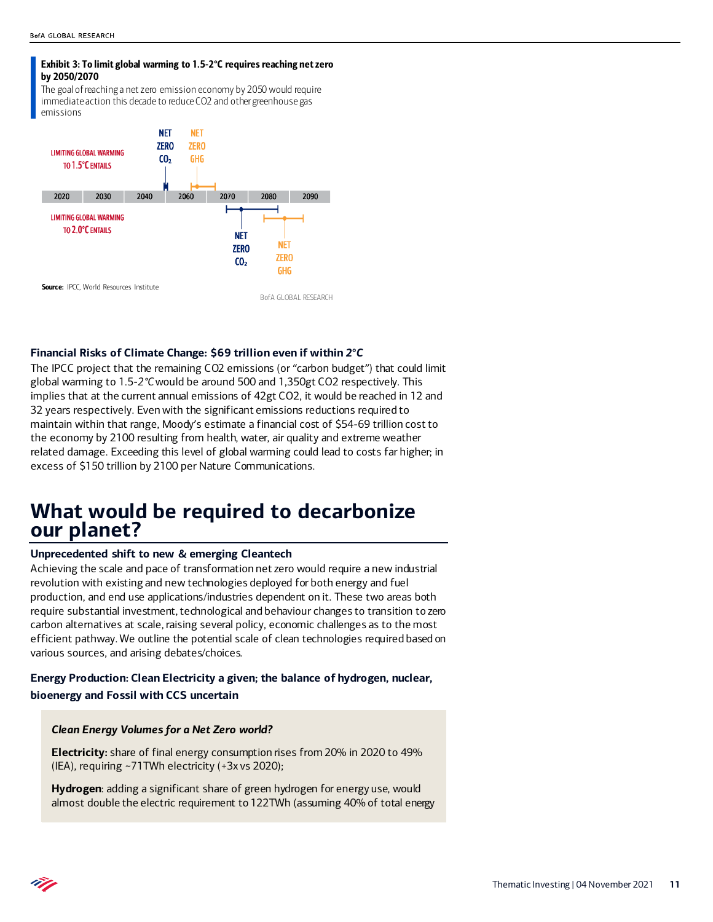#### Exhibit 3: To limit global warming to 1.5-2°C requires reaching net zero by 2050/2070

The goal of reaching a net zero emission economy by 2050 would require immediate action this decade to reduce CO2 and other greenhouse gas emissions



#### **Financial Risks of Climate Change: \$69 trillion even if within** *2°C*

The IPCC project that the remaining CO2 emissions (or "carbon budget") that could limit global warming to 1.5-*2°C* would be around 500 and 1,350gt CO2 respectively. This implies that at the current annual emissions of 42gt CO2, it would be reached in 12 and 32 years respectively. Even with the significant emissions reductions required to maintain within that range, Moody's estimate a financial cost of \$54-69 trillion cost to the economy by 2100 resulting from health, water, air quality and extreme weather related damage. Exceeding this level of global warming could lead to costs far higher; in excess of \$150 trillion by 2100 per Nature Communications.

## **What would be required to decarbonize our planet?**

#### **Unprecedented shift to new & emerging Cleantech**

Achieving the scale and pace of transformation net zero would require a new industrial revolution with existing and new technologies deployed for both energy and fuel production, and end use applications/industries dependent on it. These two areas both require substantial investment, technological and behaviour changes to transition to zero carbon alternatives at scale, raising several policy, economic challenges as to the most efficient pathway. We outline the potential scale of clean technologies required based on various sources, and arising debates/choices.

### **Energy Production: Clean Electricity a given; the balance of hydrogen, nuclear, bioenergy and Fossil with CCS uncertain**

#### *Clean Energy Volumes for a Net Zero world?*

**Electricity:** share of final energy consumption rises from 20% in 2020 to 49% (IEA), requiring ~71TWh electricity (+3x vs 2020);

**Hydrogen**: adding a significant share of green hydrogen for energy use, would almost double the electric requirement to 122TWh (assuming 40% of total energy

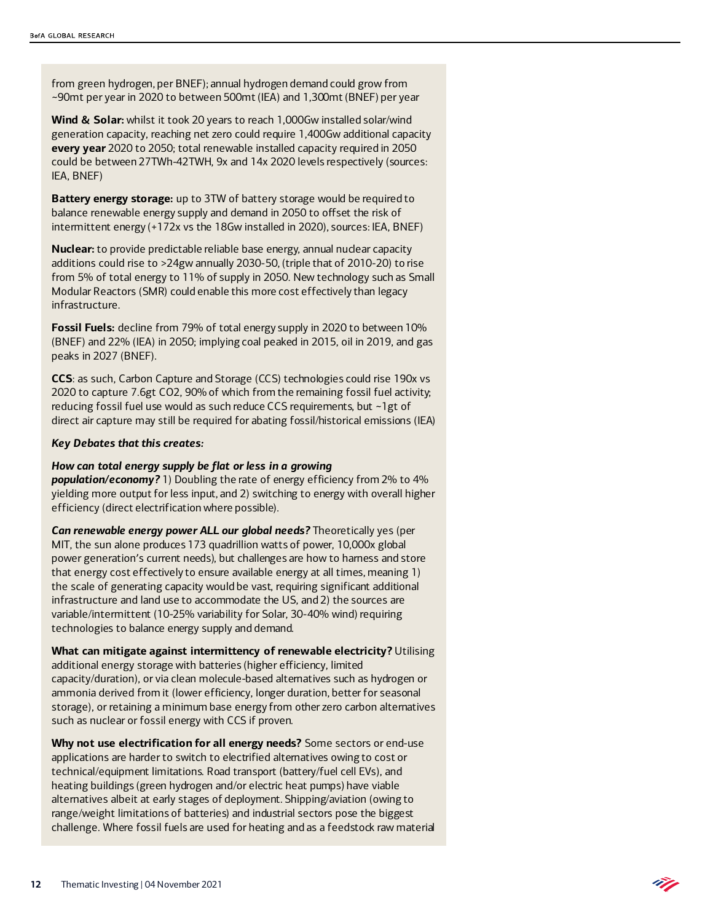from green hydrogen, per BNEF); annual hydrogen demand could grow from ~90mt per year in 2020 to between 500mt (IEA) and 1,300mt (BNEF) per year

**Wind & Solar:** whilst it took 20 years to reach 1,000Gw installed solar/wind generation capacity, reaching net zero could require 1,400Gw additional capacity **every year** 2020 to 2050; total renewable installed capacity required in 2050 could be between 27TWh-42TWH, 9x and 14x 2020 levels respectively (sources: IEA, BNEF)

**Battery energy storage:** up to 3TW of battery storage would be required to balance renewable energy supply and demand in 2050 to offset the risk of intermittent energy (+172x vs the 18Gw installed in 2020), sources: IEA, BNEF)

**Nuclear:** to provide predictable reliable base energy, annual nuclear capacity additions could rise to >24gw annually 2030-50, (triple that of 2010-20) to rise from 5% of total energy to 11% of supply in 2050. New technology such as Small Modular Reactors (SMR) could enable this more cost effectively than legacy infrastructure.

**Fossil Fuels:** decline from 79% of total energy supply in 2020 to between 10% (BNEF) and 22% (IEA) in 2050; implying coal peaked in 2015, oil in 2019, and gas peaks in 2027 (BNEF).

**CCS**: as such, Carbon Capture and Storage (CCS) technologies could rise 190x vs 2020 to capture 7.6gt CO2, 90% of which from the remaining fossil fuel activity; reducing fossil fuel use would as such reduce CCS requirements, but ~1gt of direct air capture may still be required for abating fossil/historical emissions (IEA)

#### *Key Debates that this creates:*

#### *How can total energy supply be flat or less in a growing*

*population/economy?* 1) Doubling the rate of energy efficiency from 2% to 4% yielding more output for less input, and 2) switching to energy with overall higher efficiency (direct electrification where possible).

*Can renewable energy power ALL our global needs?* Theoretically yes (per MIT, the sun alone produces 173 quadrillion watts of power, 10,000x global power generation's current needs), but challenges are how to harness and store that energy cost effectively to ensure available energy at all times, meaning 1) the scale of generating capacity would be vast, requiring significant additional infrastructure and land use to accommodate the US, and 2) the sources are variable/intermittent (10-25% variability for Solar, 30-40% wind) requiring technologies to balance energy supply and demand.

**What can mitigate against intermittency of renewable electricity?** Utilising additional energy storage with batteries (higher efficiency, limited capacity/duration), or via clean molecule-based alternatives such as hydrogen or ammonia derived from it (lower efficiency, longer duration, better for seasonal storage), or retaining a minimum base energy from other zero carbon alternatives such as nuclear or fossil energy with CCS if proven.

**Why not use electrification for all energy needs?** Some sectors or end-use applications are harder to switch to electrified alternatives owing to cost or technical/equipment limitations. Road transport (battery/fuel cell EVs), and heating buildings (green hydrogen and/or electric heat pumps) have viable alternatives albeit at early stages of deployment. Shipping/aviation (owing to range/weight limitations of batteries) and industrial sectors pose the biggest challenge. Where fossil fuels are used for heating and as a feedstock raw material

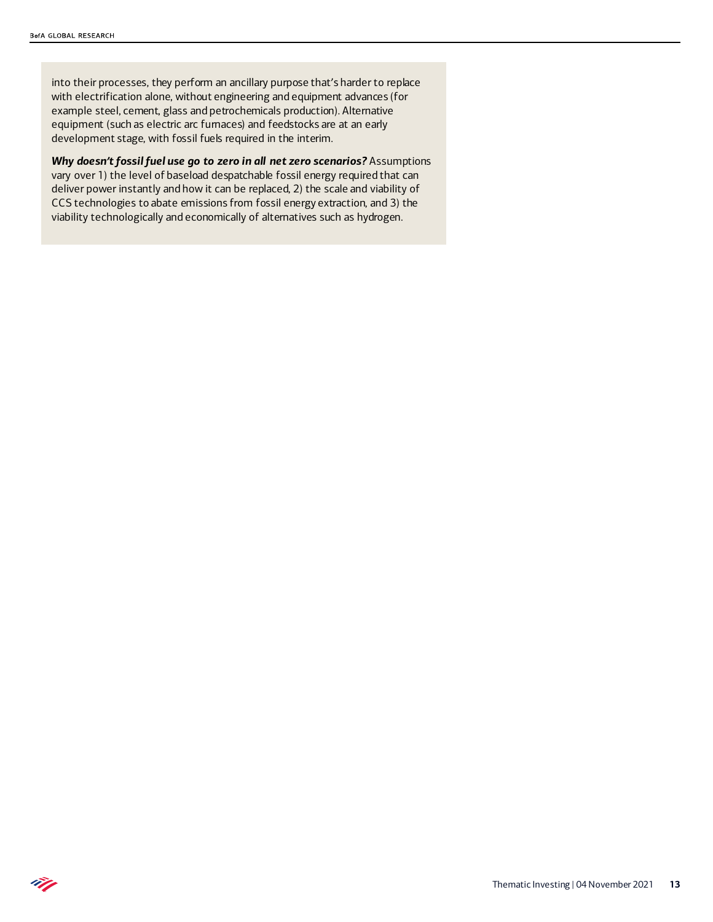Ñ.

into their processes, they perform an ancillary purpose that's harder to replace with electrification alone, without engineering and equipment advances (for example steel, cement, glass and petrochemicals production). Alternative equipment (such as electric arc furnaces) and feedstocks are at an early development stage, with fossil fuels required in the interim.

*Why doesn't fossil fuel use go to zero in all net zero scenarios?* Assumptions vary over 1) the level of baseload despatchable fossil energy required that can deliver power instantly and how it can be replaced, 2) the scale and viability of CCS technologies to abate emissions from fossil energy extraction, and 3) the viability technologically and economically of alternatives such as hydrogen.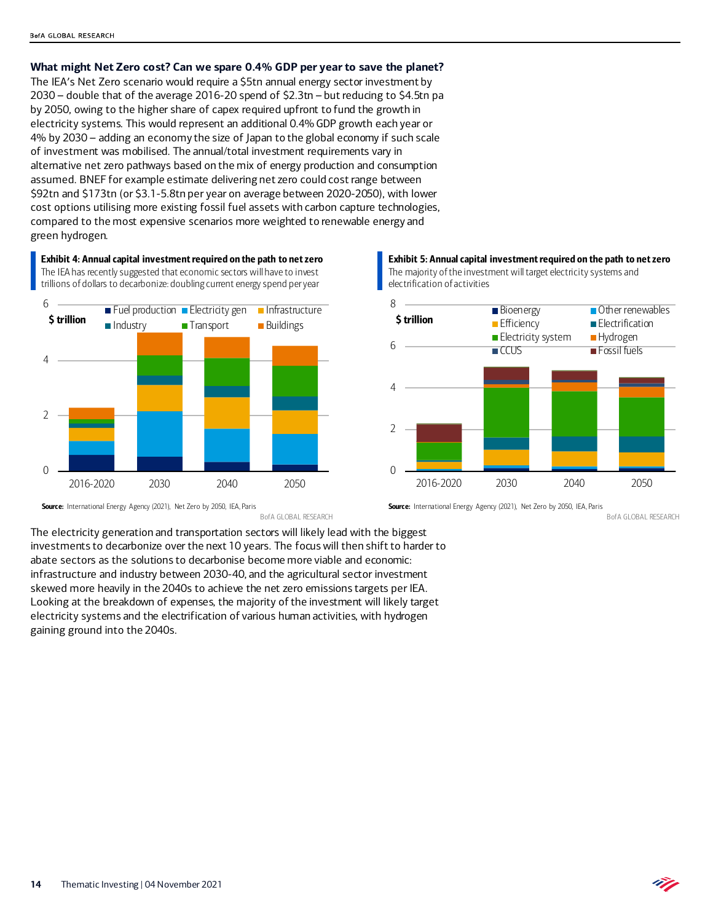**What might Net Zero cost? Can we spare 0.4% GDP per year to save the planet?**

The IEA's Net Zero scenario would require a \$5tn annual energy sector investment by 2030 – double that of the average 2016-20 spend of \$2.3tn – but reducing to \$4.5tn pa by 2050, owing to the higher share of capex required upfront to fund the growth in electricity systems. This would represent an additional 0.4% GDP growth each year or 4% by 2030 – adding an economy the size of Japan to the global economy if such scale of investment was mobilised. The annual/total investment requirements vary in alternative net zero pathways based on the mix of energy production and consumption assumed. BNEF for example estimate delivering net zero could cost range between \$92tn and \$173tn (or \$3.1-5.8tn per year on average between 2020-2050), with lower cost options utilising more existing fossil fuel assets with carbon capture technologies, compared to the most expensive scenarios more weighted to renewable energy and green hydrogen.

Exhibit 4: Annual capital investment required on the path to net zero The IEA has recently suggested that economic sectors will have to invest trillions of dollars to decarbonize: doubling current energy spend per year



Source: International Energy Agency (2021), Net Zero by 2050, IEA, Paris BofA GLOBAL RESEARCH

Exhibit 5: Annual capital investment required on the path to net zero The majority of the investment will target electricity systems and electrification of activities



Source: International Energy Agency (2021), Net Zero by 2050, IEA, Paris

BofA GLOBAL RESEARCH

Ñ.

The electricity generation and transportation sectors will likely lead with the biggest investments to decarbonize over the next 10 years. The focus will then shift to harder to abate sectors as the solutions to decarbonise become more viable and economic: infrastructure and industry between 2030-40, and the agricultural sector investment skewed more heavily in the 2040s to achieve the net zero emissions targets per IEA. Looking at the breakdown of expenses, the majority of the investment will likely target electricity systems and the electrification of various human activities, with hydrogen gaining ground into the 2040s.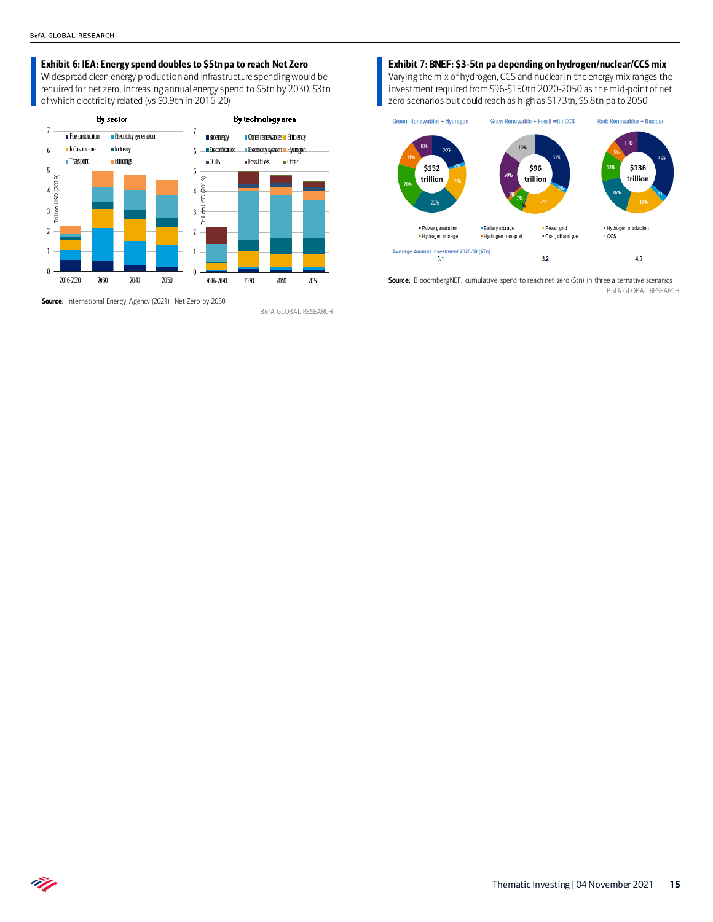#### Exhibit 6: IEA: Energy spend doubles to \$5tn pa to reach Net Zero

Widespread clean energy production and infrastructure spending would be required for net zero, increasing annual energy spend to \$5tn by 2030, \$3tn of which electricity related (vs \$0.9tn in 2016-20)



Source: International Energy Agency (2021), Net Zero by 2050

BofA GLOBAL RESEARCH

#### Exhibit 7: BNEF: \$3-5tn pa depending on hydrogen/nuclear/CCS mix

Varying the mix of hydrogen, CCS and nuclear in the energy mix ranges the investment required from \$96-\$150tn 2020-2050 as the mid-point of net zero scenarios but could reach as high as \$173tn, \$5.8tn pa to 2050



Source: BlooombergNEF; cumulative spend to reach net zero (\$tn) in three alternative scenarios BofA GLOBAL RESEARCH

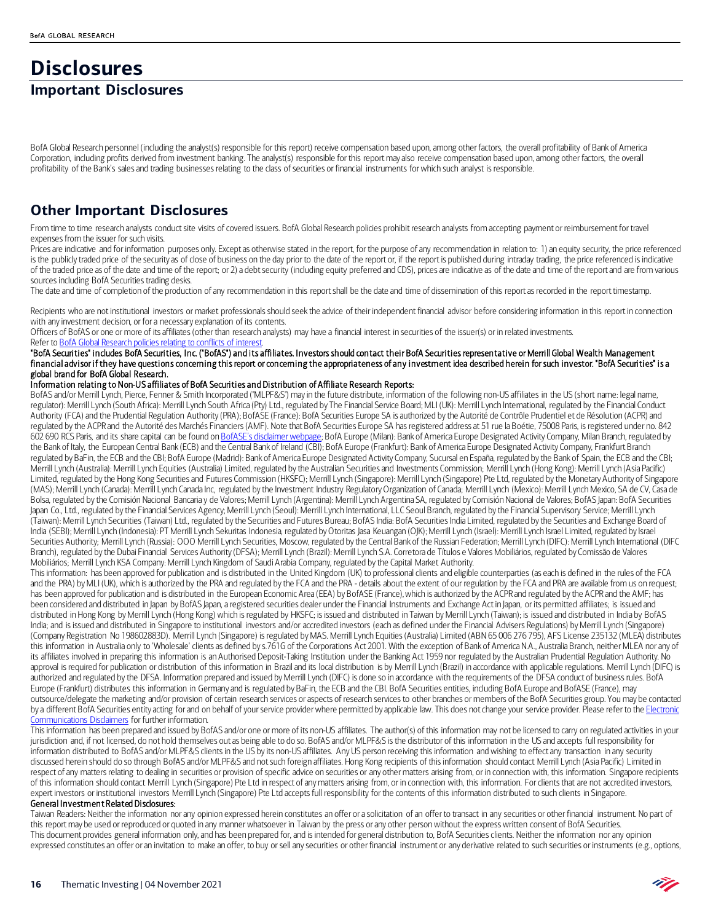### **Disclosures Important Disclosures**

## BofA Global Research personnel (including the analyst(s) responsible for this report) receive compensation based upon, among other factors, the overall profitability of Bank of America Corporation, including profits derived from investment banking. The analyst(s) responsible for this report may also receive compensation based upon, among other factors, the overall

profitability of the Bank's sales and trading businesses relating to the class of securities or financial instruments for which such analyst is responsible.

### **Other Important Disclosures**

From time to time research analysts conduct site visits of covered issuers. BofA Global Research policies prohibit research analysts from accepting payment or reimbursement for travel expenses from the issuer for such visits.

Prices are indicative and for information purposes only. Except as otherwise stated in the report, for the purpose of any recommendation in relation to: 1) an equity security, the price referenced is the publicly traded price of the security as of close of business on the day prior to the date of the report or, if the report is published during intraday trading, the price referenced is indicative of the traded price as of the date and time of the report; or 2) a debt security (including equity preferred and CDS), prices are indicative as of the date and time of the report and are from various sources including BofA Securities trading desks.

The date and time of completion of the production of any recommendation in this report shall be the date and time of dissemination of this report as recorded in the report timestamp.

Recipients who are not institutional investors or market professionals should seek the advice of their independent financial advisor before considering information in this report in connection with any investment decision, or for a necessary explanation of its contents.

Officers of BofAS or one or more of its affiliates (other than research analysts) may have a financial interest in securities of the issuer(s) or in related investments. Refer t[o BofA Global Research policies relating to conflicts of interest.](https://rsch.baml.com/coi)

"BofA Securities" includes BofA Securities, Inc. ("BofAS") and its affiliates. Investors should contact their BofA Securities representative or Merrill Global Wealth Management financial advisor if they have questions concerning this report or concerning the appropriateness of any investment idea described herein for such investor. "BofA Securities" is a global brand for BofA Global Research.

#### Information relating to Non-US affiliates of BofA Securities and Distribution of Affiliate Research Reports:

BofAS and/or Merrill Lynch, Pierce, Fenner & Smith Incorporated ("MLPF&S") may in the future distribute, information of the following non-US affiliates in the US (short name: legal name, regulator): Merrill Lynch (South Africa): Merrill Lynch South Africa (Pty) Ltd., regulated by The Financial Service Board; MLI (UK): Merrill Lynch International, regulated by the Financial Conduct Authority (FCA) and the Prudential Regulation Authority (PRA); BofASE (France): BofA Securities Europe SA is authorized by the Autorité de Contrôle Prudentiel et de Résolution (ACPR) and regulated by the ACPR and the Autorité des Marchés Financiers (AMF). Note that BofA Securities Europe SA has registered address at 51 rue la Boétie, 75008 Paris, is registered under no. 842 602 690 RCS Paris, and its share capital can be found o[n BofASE's disclaimer webpage;](https://www.bofaml.com/en-us/content/BofASE.html) BofA Europe (Milan): Bank of America Europe Designated Activity Company, Milan Branch, regulated by the Bank of Italy, the European Central Bank (ECB) and the Central Bank of Ireland (CBI); BofA Europe (Frankfurt): Bank of America Europe Designated Activity Company, Frankfurt Branch regulated by BaFin, the ECB and the CBI; BofA Europe (Madrid): Bank of America Europe Designated Activity Company, Sucursal en España, regulated by the Bank of Spain, the ECB and the CBI; Merrill Lynch (Australia): Merrill Lynch Equities (Australia) Limited, regulated by the Australian Securities and Investments Commission; Merrill Lynch (Hong Kong): Merrill Lynch (Asia Pacific) Limited, regulated by the Hong Kong Securities and Futures Commission (HKSFC); Merrill Lynch (Singapore): Merrill Lynch (Singapore) Pte Ltd, regulated by the Monetary Authority of Singapore (MAS); Merrill Lynch (Canada): Merrill Lynch Canada Inc, regulated by the Investment Industry Regulatory Organization of Canada; Merrill Lynch (Mexico): Merrill Lynch Mexico, SA de CV, Casa de Bolsa, regulated by the Comisión Nacional Bancaria y de Valores; Merrill Lynch (Argentina): Merrill Lynch Argentina SA, regulated by Comisión Nacional de Valores; BofAS Japan: BofA Securities Japan Co., Ltd., regulated by the Financial Services Agency; Merrill Lynch (Seoul): Merrill Lynch International, LLC Seoul Branch, regulated by the Financial Supervisory Service; Merrill Lynch (Taiwan): Merrill Lynch Securities (Taiwan) Ltd., regulated by the Securities and Futures Bureau; BofAS India: BofA Securities India Limited, regulated by the Securities and Exchange Board of India (SEBI); Merrill Lynch (Indonesia): PT Merrill Lynch Sekuritas Indonesia, regulated by Otoritas Jasa Keuangan (OJK); Merrill Lynch (Israel): Merrill Lynch Israel Limited, regulated by Israel Securities Authority; Merrill Lynch (Russia): OOO Merrill Lynch Securities, Moscow, regulated by the Central Bank of the Russian Federation; Merrill Lynch (DIFC): Merrill Lynch International (DIFC) Branch), regulated by the Dubai Financial Services Authority (DFSA); Merrill Lynch (Brazil): Merrill Lynch S.A. Corretora de Títulos e Valores Mobiliários, regulated by Comissão de Valores Mobiliários; Merrill Lynch KSA Company: Merrill Lynch Kingdom of Saudi Arabia Company, regulated by the Capital Market Authority.

This information: has been approved for publication and is distributed in the United Kingdom (UK) to professional clients and eligible counterparties (as each is defined in the rules of the FCA and the PRA) by MLI (UK), which is authorized by the PRA and regulated by the FCA and the PRA - details about the extent of our regulation by the FCA and PRA are available from us on request; has been approved for publication and is distributed in the European Economic Area (EEA) by BofASE (France), which is authorized by the ACPR and regulated by the ACPR and the AMF; has been considered and distributed in Japan by BofAS Japan, a registered securities dealer under the Financial Instruments and Exchange Act in Japan, or its permitted affiliates; is issued and distributed in Hong Kong by Merrill Lynch (Hong Kong) which is regulated by HKSFC; is issued and distributed in Taiwan by Merrill Lynch (Taiwan); is issued and distributed in India by BofAS India; and is issued and distributed in Singapore to institutional investors and/or accredited investors (each as defined under the Financial Advisers Regulations) by Merrill Lynch (Singapore) (Company Registration No 198602883D). Merrill Lynch (Singapore) is regulated by MAS. Merrill Lynch Equities (Australia) Limited (ABN 65 006 276 795), AFS License 235132 (MLEA) distributes this information in Australia only to 'Wholesale' clients as defined by s.761G of the Corporations Act 2001. With the exception of Bank of America N.A., Australia Branch, neither MLEA nor any of its affiliates involved in preparing this information is an Authorised Deposit-Taking Institution under the Banking Act 1959 nor regulated by the Australian Prudential Regulation Authority. No approval is required for publication or distribution of this information in Brazil and its local distribution is by Merrill Lynch (Brazil) in accordance with applicable regulations. Merrill Lynch (DIFC) is authorized and regulated by the DFSA. Information prepared and issued by Merrill Lynch (DIFC) is done so in accordance with the requirements of the DFSA conduct of business rules. BofA Europe (Frankfurt) distributes this information in Germany and is regulated by BaFin, the ECB and the CBI. BofA Securities entities, including BofA Europe and BofASE (France), may outsource/delegate the marketing and/or provision of certain research services or aspects of research services to other branches or members of the BofA Securities group. You may be contacted by a different BofA Securities entity acting for and on behalf of your service provider where permitted by applicable law. This does not change your service provider. Please refer to the Electronic [Communications Disclaimers](http://www.bankofamerica.com/emaildisclaimer) for further information.

This information has been prepared and issued by BofAS and/or one or more of its non-US affiliates. The author(s) of this information may not be licensed to carry on regulated activities in your jurisdiction and, if not licensed, do not hold themselves out as being able to do so. BofAS and/or MLPF&S is the distributor of this information in the US and accepts full responsibility for information distributed to BofAS and/or MLPF&S clients in the US by its non-US affiliates. Any US person receiving this information and wishing to effect any transaction in any security discussed herein should do so through BofAS and/or MLPF&S and not such foreign affiliates. Hong Kong recipients of this information should contact Merrill Lynch (Asia Pacific) Limited in respect of any matters relating to dealing in securities or provision of specific advice on securities or any other matters arising from, or in connection with, this information. Singapore recipients of this information should contact Merrill Lynch (Singapore) Pte Ltd in respect of any matters arising from, or in connection with, this information. For clients that are not accredited investors, expert investors or institutional investors Merrill Lynch (Singapore) Pte Ltd accepts full responsibility for the contents of this information distributed to such clients in Singapore.

#### General Investment Related Disclosures:

Taiwan Readers: Neither the information nor any opinion expressed herein constitutes an offer or a solicitation of an offer to transact in any securities or other financial instrument. No part of this report may be used or reproduced or quoted in any manner whatsoever in Taiwan by the press or any other person without the express written consent of BofA Securities. This document provides general information only, and has been prepared for, and is intended for general distribution to, BofA Securities clients. Neither the information nor any opinion expressed constitutes an offer or an invitation to make an offer, to buy or sell any securities or other financial instrument or any derivative related to such securities or instruments (e.g., options,

Ü.